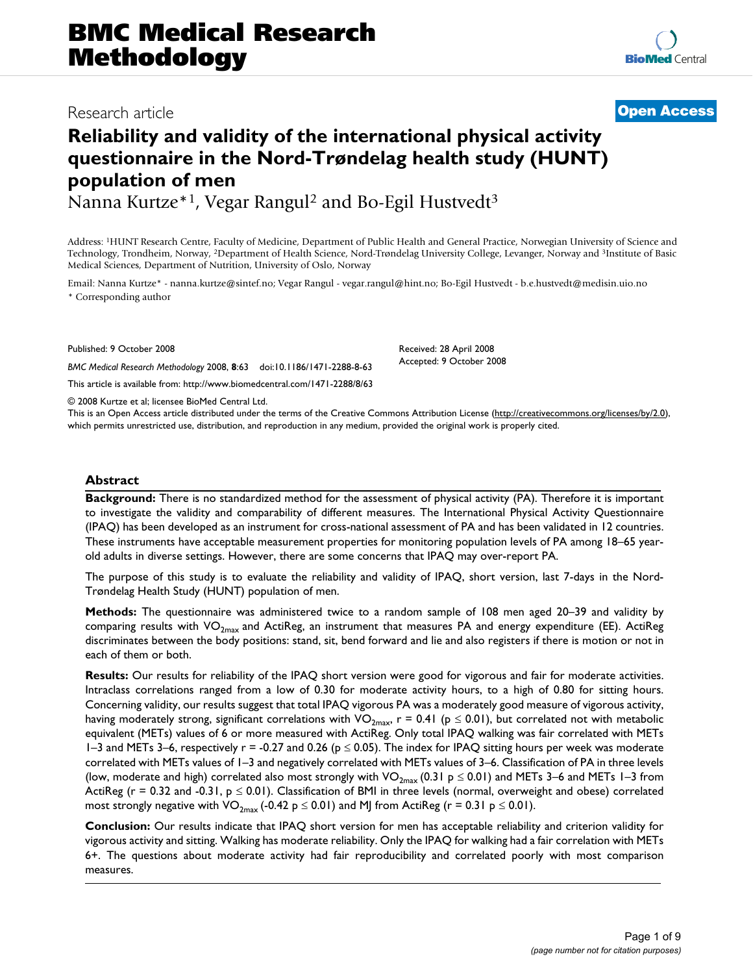# **BMC Medical Research Methodology**

# Research article **[Open Access](http://www.biomedcentral.com/info/about/charter/)**

# **Reliability and validity of the international physical activity questionnaire in the Nord-Trøndelag health study (HUNT) population of men**

Nanna Kurtze<sup>\*1</sup>, Vegar Rangul<sup>2</sup> and Bo-Egil Hustvedt<sup>3</sup>

Address: 1HUNT Research Centre, Faculty of Medicine, Department of Public Health and General Practice, Norwegian University of Science and Technology, Trondheim, Norway, 2Department of Health Science, Nord-Trøndelag University College, Levanger, Norway and 3Institute of Basic Medical Sciences, Department of Nutrition, University of Oslo, Norway

Email: Nanna Kurtze\* - nanna.kurtze@sintef.no; Vegar Rangul - vegar.rangul@hint.no; Bo-Egil Hustvedt - b.e.hustvedt@medisin.uio.no \* Corresponding author

Published: 9 October 2008

*BMC Medical Research Methodology* 2008, **8**:63 doi:10.1186/1471-2288-8-63

[This article is available from: http://www.biomedcentral.com/1471-2288/8/63](http://www.biomedcentral.com/1471-2288/8/63)

© 2008 Kurtze et al; licensee BioMed Central Ltd.

Received: 28 April 2008 Accepted: 9 October 2008

This is an Open Access article distributed under the terms of the Creative Commons Attribution License [\(http://creativecommons.org/licenses/by/2.0\)](http://creativecommons.org/licenses/by/2.0), which permits unrestricted use, distribution, and reproduction in any medium, provided the original work is properly cited.

# **Abstract**

**Background:** There is no standardized method for the assessment of physical activity (PA). Therefore it is important to investigate the validity and comparability of different measures. The International Physical Activity Questionnaire (IPAQ) has been developed as an instrument for cross-national assessment of PA and has been validated in 12 countries. These instruments have acceptable measurement properties for monitoring population levels of PA among 18–65 yearold adults in diverse settings. However, there are some concerns that IPAQ may over-report PA.

The purpose of this study is to evaluate the reliability and validity of IPAQ, short version, last 7-days in the Nord-Trøndelag Health Study (HUNT) population of men.

**Methods:** The questionnaire was administered twice to a random sample of 108 men aged 20–39 and validity by comparing results with  $VO_{2max}$  and ActiReg, an instrument that measures PA and energy expenditure (EE). ActiReg discriminates between the body positions: stand, sit, bend forward and lie and also registers if there is motion or not in each of them or both.

**Results:** Our results for reliability of the IPAQ short version were good for vigorous and fair for moderate activities. Intraclass correlations ranged from a low of 0.30 for moderate activity hours, to a high of 0.80 for sitting hours. Concerning validity, our results suggest that total IPAQ vigorous PA was a moderately good measure of vigorous activity, having moderately strong, significant correlations with VO<sub>2max</sub>, r = 0.41 ( $p \le 0.01$ ), but correlated not with metabolic equivalent (METs) values of 6 or more measured with ActiReg. Only total IPAQ walking was fair correlated with METs 1–3 and METs 3–6, respectively  $r = -0.27$  and 0.26 ( $p \le 0.05$ ). The index for IPAQ sitting hours per week was moderate correlated with METs values of 1–3 and negatively correlated with METs values of 3–6. Classification of PA in three levels (low, moderate and high) correlated also most strongly with VO<sub>2max</sub> (0.31 p  $\leq$  0.01) and METs 3–6 and METs 1–3 from ActiReg ( $r = 0.32$  and -0.31,  $p \le 0.01$ ). Classification of BMI in three levels (normal, overweight and obese) correlated most strongly negative with VO<sub>2max</sub> (-0.42 p  $\leq$  0.01) and MJ from ActiReg (r = 0.31 p  $\leq$  0.01).

**Conclusion:** Our results indicate that IPAQ short version for men has acceptable reliability and criterion validity for vigorous activity and sitting. Walking has moderate reliability. Only the IPAQ for walking had a fair correlation with METs 6+. The questions about moderate activity had fair reproducibility and correlated poorly with most comparison measures.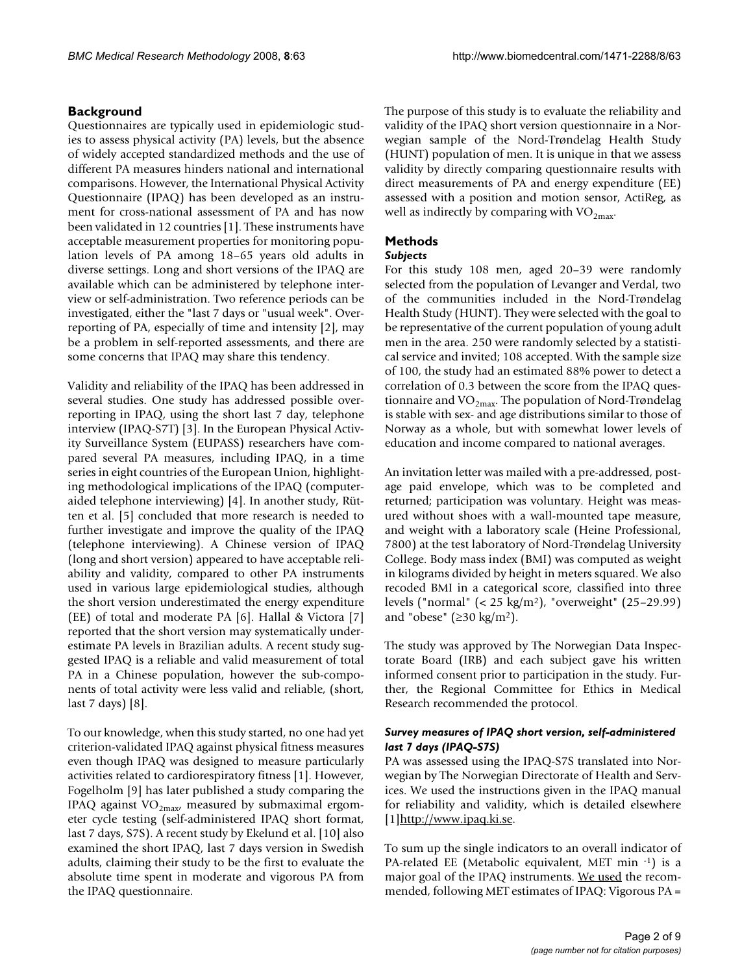# **Background**

Questionnaires are typically used in epidemiologic studies to assess physical activity (PA) levels, but the absence of widely accepted standardized methods and the use of different PA measures hinders national and international comparisons. However, the International Physical Activity Questionnaire (IPAQ) has been developed as an instrument for cross-national assessment of PA and has now been validated in 12 countries [1]. These instruments have acceptable measurement properties for monitoring population levels of PA among 18–65 years old adults in diverse settings. Long and short versions of the IPAQ are available which can be administered by telephone interview or self-administration. Two reference periods can be investigated, either the "last 7 days or "usual week". Overreporting of PA, especially of time and intensity [2], may be a problem in self-reported assessments, and there are some concerns that IPAQ may share this tendency.

Validity and reliability of the IPAQ has been addressed in several studies. One study has addressed possible overreporting in IPAQ, using the short last 7 day, telephone interview (IPAQ-S7T) [3]. In the European Physical Activity Surveillance System (EUPASS) researchers have compared several PA measures, including IPAQ, in a time series in eight countries of the European Union, highlighting methodological implications of the IPAQ (computeraided telephone interviewing) [4]. In another study, Rütten et al. [5] concluded that more research is needed to further investigate and improve the quality of the IPAQ (telephone interviewing). A Chinese version of IPAQ (long and short version) appeared to have acceptable reliability and validity, compared to other PA instruments used in various large epidemiological studies, although the short version underestimated the energy expenditure (EE) of total and moderate PA [6]. Hallal & Victora [7] reported that the short version may systematically underestimate PA levels in Brazilian adults. A recent study suggested IPAQ is a reliable and valid measurement of total PA in a Chinese population, however the sub-components of total activity were less valid and reliable, (short, last 7 days) [8].

To our knowledge, when this study started, no one had yet criterion-validated IPAQ against physical fitness measures even though IPAQ was designed to measure particularly activities related to cardiorespiratory fitness [1]. However, Fogelholm [9] has later published a study comparing the IPAQ against  $VO_{2max}$ , measured by submaximal ergometer cycle testing (self-administered IPAQ short format, last 7 days, S7S). A recent study by Ekelund et al. [10] also examined the short IPAQ, last 7 days version in Swedish adults, claiming their study to be the first to evaluate the absolute time spent in moderate and vigorous PA from the IPAQ questionnaire.

The purpose of this study is to evaluate the reliability and validity of the IPAQ short version questionnaire in a Norwegian sample of the Nord-Trøndelag Health Study (HUNT) population of men. It is unique in that we assess validity by directly comparing questionnaire results with direct measurements of PA and energy expenditure (EE) assessed with a position and motion sensor, ActiReg, as well as indirectly by comparing with  $VO_{2max}$ .

# **Methods**

### *Subjects*

For this study 108 men, aged 20–39 were randomly selected from the population of Levanger and Verdal, two of the communities included in the Nord-Trøndelag Health Study (HUNT). They were selected with the goal to be representative of the current population of young adult men in the area. 250 were randomly selected by a statistical service and invited; 108 accepted. With the sample size of 100, the study had an estimated 88% power to detect a correlation of 0.3 between the score from the IPAQ questionnaire and  $VO<sub>2max</sub>$ . The population of Nord-Trøndelag is stable with sex- and age distributions similar to those of Norway as a whole, but with somewhat lower levels of education and income compared to national averages.

An invitation letter was mailed with a pre-addressed, postage paid envelope, which was to be completed and returned; participation was voluntary. Height was measured without shoes with a wall-mounted tape measure, and weight with a laboratory scale (Heine Professional, 7800) at the test laboratory of Nord-Trøndelag University College. Body mass index (BMI) was computed as weight in kilograms divided by height in meters squared. We also recoded BMI in a categorical score, classified into three levels ("normal" (< 25 kg/m2), "overweight" (25–29.99) and "obese" ( $\geq$ 30 kg/m<sup>2</sup>).

The study was approved by The Norwegian Data Inspectorate Board (IRB) and each subject gave his written informed consent prior to participation in the study. Further, the Regional Committee for Ethics in Medical Research recommended the protocol.

### *Survey measures of IPAQ short version, self-administered last 7 days (IPAQ-S7S)*

PA was assessed using the IPAQ-S7S translated into Norwegian by The Norwegian Directorate of Health and Services. We used the instructions given in the IPAQ manual for reliability and validity, which is detailed elsewhere [1[\]http://www.ipaq.ki.se.](http://www.ipaq.ki.se)

To sum up the single indicators to an overall indicator of PA-related EE (Metabolic equivalent, MET min -1) is a major goal of the IPAQ instruments. We used the recommended, following MET estimates of IPAQ: Vigorous PA =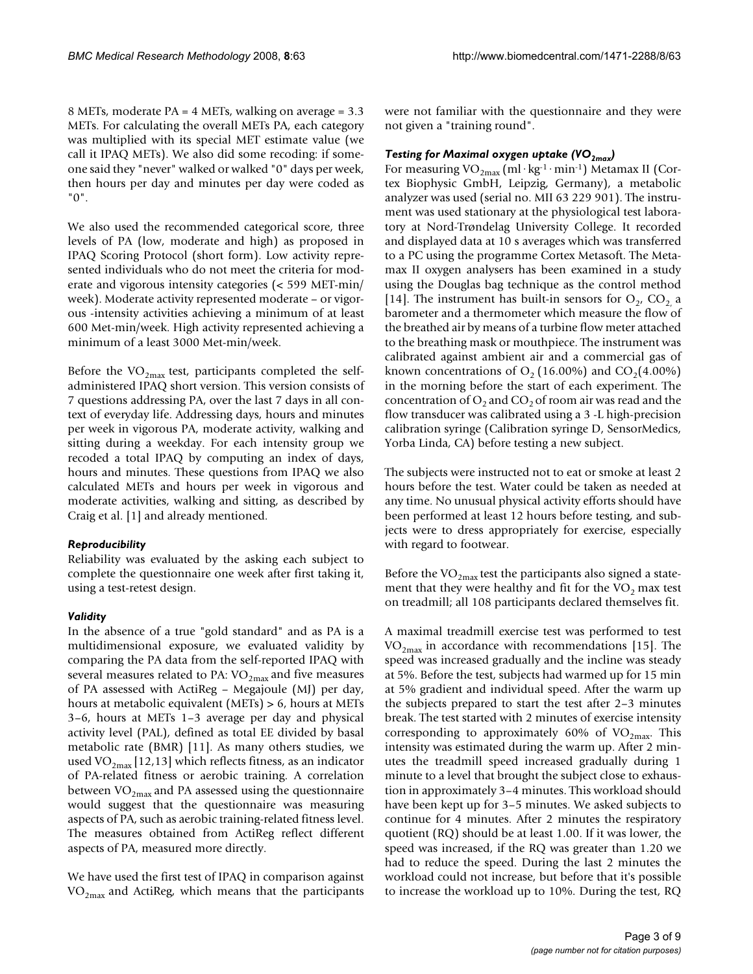8 METs, moderate PA = 4 METs, walking on average = 3.3 METs. For calculating the overall METs PA, each category was multiplied with its special MET estimate value (we call it IPAQ METs). We also did some recoding: if someone said they "never" walked or walked "0" days per week, then hours per day and minutes per day were coded as "0".

We also used the recommended categorical score, three levels of PA (low, moderate and high) as proposed in IPAQ Scoring Protocol (short form). Low activity represented individuals who do not meet the criteria for moderate and vigorous intensity categories (< 599 MET-min/ week). Moderate activity represented moderate – or vigorous -intensity activities achieving a minimum of at least 600 Met-min/week. High activity represented achieving a minimum of a least 3000 Met-min/week.

Before the  $VO<sub>2max</sub>$  test, participants completed the selfadministered IPAQ short version. This version consists of 7 questions addressing PA, over the last 7 days in all context of everyday life. Addressing days, hours and minutes per week in vigorous PA, moderate activity, walking and sitting during a weekday. For each intensity group we recoded a total IPAQ by computing an index of days, hours and minutes. These questions from IPAQ we also calculated METs and hours per week in vigorous and moderate activities, walking and sitting, as described by Craig et al. [1] and already mentioned.

# *Reproducibility*

Reliability was evaluated by the asking each subject to complete the questionnaire one week after first taking it, using a test-retest design.

#### *Validity*

In the absence of a true "gold standard" and as PA is a multidimensional exposure, we evaluated validity by comparing the PA data from the self-reported IPAQ with several measures related to PA:  $VO_{2max}$  and five measures of PA assessed with ActiReg – Megajoule (MJ) per day, hours at metabolic equivalent (METs) > 6, hours at METs 3–6, hours at METs 1–3 average per day and physical activity level (PAL), defined as total EE divided by basal metabolic rate (BMR) [11]. As many others studies, we used VO<sub>2max</sub> [12,13] which reflects fitness, as an indicator of PA-related fitness or aerobic training. A correlation between  $VO_{2max}$  and PA assessed using the questionnaire would suggest that the questionnaire was measuring aspects of PA, such as aerobic training-related fitness level. The measures obtained from ActiReg reflect different aspects of PA, measured more directly.

We have used the first test of IPAQ in comparison against  $VO_{2max}$  and ActiReg, which means that the participants

were not familiar with the questionnaire and they were not given a "training round".

# *Testing for Maximal oxygen uptake (VO2max)*

For measuring  $VO_{2max}$  (ml·kg<sup>-1</sup>·min<sup>-1</sup>) Metamax II (Cortex Biophysic GmbH, Leipzig, Germany), a metabolic analyzer was used (serial no. MII 63 229 901). The instrument was used stationary at the physiological test laboratory at Nord-Trøndelag University College. It recorded and displayed data at 10 s averages which was transferred to a PC using the programme Cortex Metasoft. The Metamax II oxygen analysers has been examined in a study using the Douglas bag technique as the control method [14]. The instrument has built-in sensors for  $O<sub>2</sub>$ ,  $CO<sub>2</sub>$  a barometer and a thermometer which measure the flow of the breathed air by means of a turbine flow meter attached to the breathing mask or mouthpiece. The instrument was calibrated against ambient air and a commercial gas of known concentrations of  $O<sub>2</sub>$  (16.00%) and  $CO<sub>2</sub>$ (4.00%) in the morning before the start of each experiment. The concentration of  $O_2$  and  $CO_2$  of room air was read and the flow transducer was calibrated using a 3 -L high-precision calibration syringe (Calibration syringe D, SensorMedics, Yorba Linda, CA) before testing a new subject.

The subjects were instructed not to eat or smoke at least 2 hours before the test. Water could be taken as needed at any time. No unusual physical activity efforts should have been performed at least 12 hours before testing, and subjects were to dress appropriately for exercise, especially with regard to footwear.

Before the  $VO_{2max}$  test the participants also signed a statement that they were healthy and fit for the  $VO<sub>2</sub>$  max test on treadmill; all 108 participants declared themselves fit.

A maximal treadmill exercise test was performed to test  $VO<sub>2max</sub>$  in accordance with recommendations [15]. The speed was increased gradually and the incline was steady at 5%. Before the test, subjects had warmed up for 15 min at 5% gradient and individual speed. After the warm up the subjects prepared to start the test after 2–3 minutes break. The test started with 2 minutes of exercise intensity corresponding to approximately 60% of  $VO<sub>2max</sub>$ . This intensity was estimated during the warm up. After 2 minutes the treadmill speed increased gradually during 1 minute to a level that brought the subject close to exhaustion in approximately 3–4 minutes. This workload should have been kept up for 3–5 minutes. We asked subjects to continue for 4 minutes. After 2 minutes the respiratory quotient (RQ) should be at least 1.00. If it was lower, the speed was increased, if the RQ was greater than 1.20 we had to reduce the speed. During the last 2 minutes the workload could not increase, but before that it's possible to increase the workload up to 10%. During the test, RQ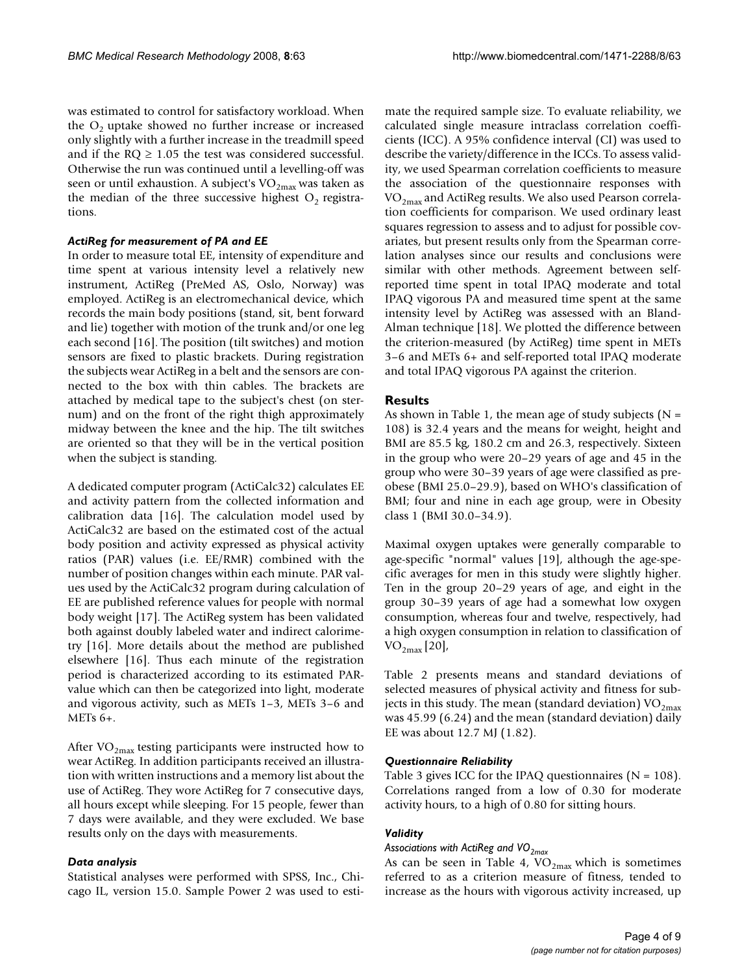was estimated to control for satisfactory workload. When the  $O<sub>2</sub>$  uptake showed no further increase or increased only slightly with a further increase in the treadmill speed and if the  $RO \geq 1.05$  the test was considered successful. Otherwise the run was continued until a levelling-off was seen or until exhaustion. A subject's  $VO<sub>2max</sub>$  was taken as the median of the three successive highest  $O<sub>2</sub>$  registrations.

# *ActiReg for measurement of PA and EE*

In order to measure total EE, intensity of expenditure and time spent at various intensity level a relatively new instrument, ActiReg (PreMed AS, Oslo, Norway) was employed. ActiReg is an electromechanical device, which records the main body positions (stand, sit, bent forward and lie) together with motion of the trunk and/or one leg each second [16]. The position (tilt switches) and motion sensors are fixed to plastic brackets. During registration the subjects wear ActiReg in a belt and the sensors are connected to the box with thin cables. The brackets are attached by medical tape to the subject's chest (on sternum) and on the front of the right thigh approximately midway between the knee and the hip. The tilt switches are oriented so that they will be in the vertical position when the subject is standing.

A dedicated computer program (ActiCalc32) calculates EE and activity pattern from the collected information and calibration data [16]. The calculation model used by ActiCalc32 are based on the estimated cost of the actual body position and activity expressed as physical activity ratios (PAR) values (i.e. EE/RMR) combined with the number of position changes within each minute. PAR values used by the ActiCalc32 program during calculation of EE are published reference values for people with normal body weight [17]. The ActiReg system has been validated both against doubly labeled water and indirect calorimetry [16]. More details about the method are published elsewhere [16]. Thus each minute of the registration period is characterized according to its estimated PARvalue which can then be categorized into light, moderate and vigorous activity, such as METs 1–3, METs 3–6 and METs 6+.

After  $VO_{2max}$  testing participants were instructed how to wear ActiReg. In addition participants received an illustration with written instructions and a memory list about the use of ActiReg. They wore ActiReg for 7 consecutive days, all hours except while sleeping. For 15 people, fewer than 7 days were available, and they were excluded. We base results only on the days with measurements.

#### *Data analysis*

Statistical analyses were performed with SPSS, Inc., Chicago IL, version 15.0. Sample Power 2 was used to estimate the required sample size. To evaluate reliability, we calculated single measure intraclass correlation coefficients (ICC). A 95% confidence interval (CI) was used to describe the variety/difference in the ICCs. To assess validity, we used Spearman correlation coefficients to measure the association of the questionnaire responses with  $VO<sub>2max</sub>$  and ActiReg results. We also used Pearson correlation coefficients for comparison. We used ordinary least squares regression to assess and to adjust for possible covariates, but present results only from the Spearman correlation analyses since our results and conclusions were similar with other methods. Agreement between selfreported time spent in total IPAQ moderate and total IPAQ vigorous PA and measured time spent at the same intensity level by ActiReg was assessed with an Bland-Alman technique [18]. We plotted the difference between the criterion-measured (by ActiReg) time spent in METs 3–6 and METs 6+ and self-reported total IPAQ moderate and total IPAQ vigorous PA against the criterion.

# **Results**

As shown in Table 1, the mean age of study subjects ( $N =$ 108) is 32.4 years and the means for weight, height and BMI are 85.5 kg, 180.2 cm and 26.3, respectively. Sixteen in the group who were 20–29 years of age and 45 in the group who were 30–39 years of age were classified as preobese (BMI 25.0–29.9), based on WHO's classification of BMI; four and nine in each age group, were in Obesity class 1 (BMI 30.0–34.9).

Maximal oxygen uptakes were generally comparable to age-specific "normal" values [19], although the age-specific averages for men in this study were slightly higher. Ten in the group 20–29 years of age, and eight in the group 30–39 years of age had a somewhat low oxygen consumption, whereas four and twelve, respectively, had a high oxygen consumption in relation to classification of  $\rm{VO}_{2\rm{max}}$  [20],

Table 2 presents means and standard deviations of selected measures of physical activity and fitness for subjects in this study. The mean (standard deviation)  $VO<sub>2max</sub>$ </sub> was 45.99 (6.24) and the mean (standard deviation) daily EE was about 12.7 MJ (1.82).

# *Questionnaire Reliability*

Table 3 gives ICC for the IPAQ questionnaires ( $N = 108$ ). Correlations ranged from a low of 0.30 for moderate activity hours, to a high of 0.80 for sitting hours.

# *Validity*

*Associations with ActiReg and VO2max*

As can be seen in Table 4,  $VO_{2max}$  which is sometimes referred to as a criterion measure of fitness, tended to increase as the hours with vigorous activity increased, up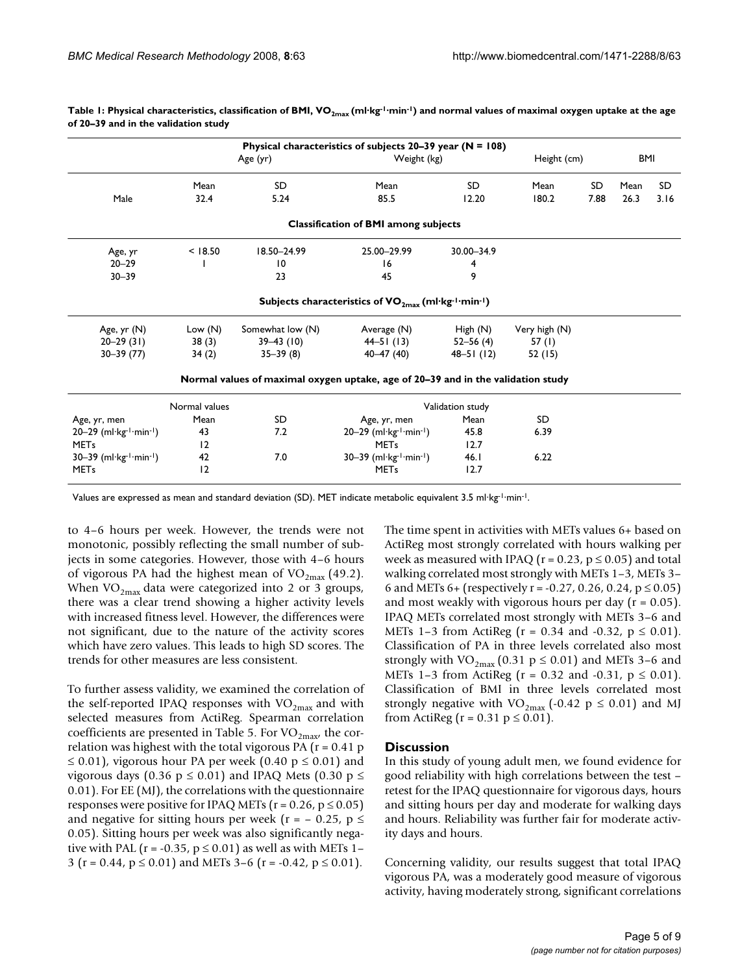| Physical characteristics of subjects 20-39 year ( $N = 108$ ) |               |                  |                                                                                  |               |               |      |            |      |  |  |
|---------------------------------------------------------------|---------------|------------------|----------------------------------------------------------------------------------|---------------|---------------|------|------------|------|--|--|
|                                                               | Age (yr)      |                  | Weight (kg)                                                                      |               | Height (cm)   |      | <b>BMI</b> |      |  |  |
|                                                               | Mean          | SD               | Mean                                                                             | SD.           | Mean          | SD   | Mean       | SD   |  |  |
| Male                                                          | 32.4          | 5.24             | 85.5                                                                             | 12.20         | 180.2         | 7.88 | 26.3       | 3.16 |  |  |
| <b>Classification of BMI among subjects</b>                   |               |                  |                                                                                  |               |               |      |            |      |  |  |
| Age, yr                                                       | < 18.50       | 18.50-24.99      | 25.00-29.99                                                                      | 30.00-34.9    |               |      |            |      |  |  |
| $20 - 29$                                                     |               | $\overline{10}$  | 16                                                                               | 4             |               |      |            |      |  |  |
| $30 - 39$                                                     |               | 23               | 45                                                                               | 9             |               |      |            |      |  |  |
|                                                               |               |                  | Subjects characteristics of $VO_{2max}(ml·kg·l·min·l)$                           |               |               |      |            |      |  |  |
| Age, yr (N)                                                   | Low $(N)$     | Somewhat low (N) | Average (N)                                                                      | High $(N)$    | Very high (N) |      |            |      |  |  |
| $20 - 29$ (31)                                                | 38(3)         | $39 - 43$ (10)   | $44 - 51(13)$                                                                    | $52 - 56(4)$  | 57 $(1)$      |      |            |      |  |  |
| $30 - 39(77)$                                                 | 34(2)         | $35 - 39(8)$     | $40 - 47(40)$                                                                    | $48 - 51(12)$ | 52 (15)       |      |            |      |  |  |
|                                                               |               |                  | Normal values of maximal oxygen uptake, age of 20–39 and in the validation study |               |               |      |            |      |  |  |
|                                                               | Normal values |                  | Validation study                                                                 |               |               |      |            |      |  |  |
| Age, yr, men                                                  | Mean          | SD               | Mean<br>Age, yr, men                                                             |               | SD            |      |            |      |  |  |
| $20-29$ (ml·kg- $1$ ·min- $1$ )                               | 43            | 7.2              | $20-29$ (ml·kg-1·min-1)                                                          | 45.8          | 6.39          |      |            |      |  |  |
| <b>MET<sub>s</sub></b>                                        | 12            |                  | <b>MET<sub>s</sub></b>                                                           | 12.7          |               |      |            |      |  |  |
| 30-39 (ml·kg-1-min-1)                                         | 42            | 7.0              | $30-39$ (ml·kg <sup>-1</sup> ·min <sup>-1</sup> )                                | 46.1          | 6.22          |      |            |      |  |  |
| <b>METs</b>                                                   | 12            |                  | <b>METs</b>                                                                      | 12.7          |               |      |            |      |  |  |

Table 1: Physical characteristics, classification of BMI, VO<sub>2max</sub> (ml·kg<sup>-1</sup>·min<sup>-1</sup>) and normal values of maximal oxygen uptake at the age **of 20–39 and in the validation study**

Values are expressed as mean and standard deviation (SD). MET indicate metabolic equivalent 3.5 ml·kg-1·min-1.

to 4–6 hours per week. However, the trends were not monotonic, possibly reflecting the small number of subjects in some categories. However, those with 4–6 hours of vigorous PA had the highest mean of  $VO<sub>2max</sub>$  (49.2). When  $VO_{2max}$  data were categorized into 2 or 3 groups, there was a clear trend showing a higher activity levels with increased fitness level. However, the differences were not significant, due to the nature of the activity scores which have zero values. This leads to high SD scores. The trends for other measures are less consistent.

To further assess validity, we examined the correlation of the self-reported IPAQ responses with  $VO_{2max}$  and with selected measures from ActiReg. Spearman correlation coefficients are presented in Table 5. For  $VO_{2max}$ , the correlation was highest with the total vigorous PA  $(r = 0.41 p)$  $\leq$  0.01), vigorous hour PA per week (0.40 p  $\leq$  0.01) and vigorous days (0.36 p  $\leq$  0.01) and IPAQ Mets (0.30 p  $\leq$ 0.01). For EE (MJ), the correlations with the questionnaire responses were positive for IPAQ METs ( $r = 0.26$ ,  $p \le 0.05$ ) and negative for sitting hours per week ( $r = -0.25$ ,  $p \le$ 0.05). Sitting hours per week was also significantly negative with PAL ( $r = -0.35$ ,  $p \le 0.01$ ) as well as with METs 1– 3 (r = 0.44,  $p \le 0.01$ ) and METs 3–6 (r = -0.42,  $p \le 0.01$ ).

The time spent in activities with METs values 6+ based on ActiReg most strongly correlated with hours walking per week as measured with IPAQ ( $r = 0.23$ ,  $p \le 0.05$ ) and total walking correlated most strongly with METs 1–3, METs 3– 6 and METs 6+ (respectively  $r = -0.27$ , 0.26, 0.24,  $p \le 0.05$ ) and most weakly with vigorous hours per day  $(r = 0.05)$ . IPAQ METs correlated most strongly with METs 3–6 and METs 1–3 from ActiReg ( $r = 0.34$  and -0.32,  $p \le 0.01$ ). Classification of PA in three levels correlated also most strongly with  $VO_{2max}$  (0.31 p  $\leq$  0.01) and METs 3–6 and METs 1–3 from Actikeg ( $r = 0.32$  and -0.31,  $p \le 0.01$ ). Classification of BMI in three levels correlated most strongly negative with VO<sub>2max</sub> (-0.42 p  $\leq$  0.01) and MJ from ActiReg ( $r = 0.31$   $p \le 0.01$ ).

#### **Discussion**

In this study of young adult men, we found evidence for good reliability with high correlations between the test – retest for the IPAQ questionnaire for vigorous days, hours and sitting hours per day and moderate for walking days and hours. Reliability was further fair for moderate activity days and hours.

Concerning validity, our results suggest that total IPAQ vigorous PA, was a moderately good measure of vigorous activity, having moderately strong, significant correlations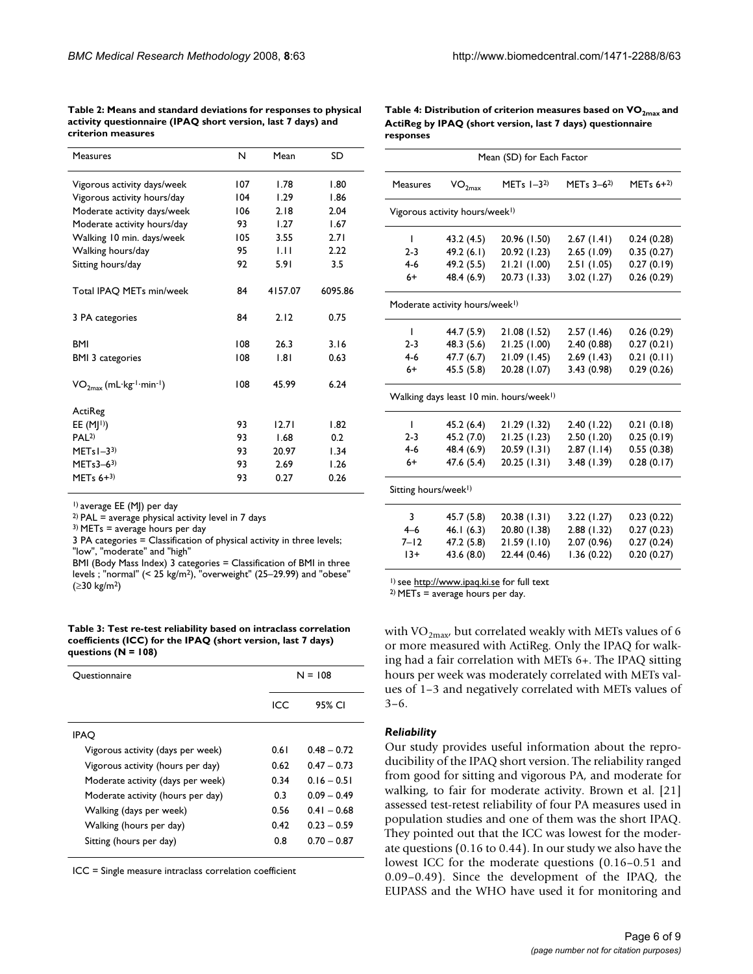| <b>Measures</b>                                    | N   | Mean    | SD      |
|----------------------------------------------------|-----|---------|---------|
| Vigorous activity days/week                        | 107 | 1.78    | 1.80    |
| Vigorous activity hours/day                        | 104 | 1.29    | 1.86    |
| Moderate activity days/week                        | 106 | 2.18    | 2.04    |
| Moderate activity hours/day                        | 93  | 1.27    | 1.67    |
| Walking 10 min. days/week                          | 105 | 3.55    | 2.71    |
| Walking hours/day                                  | 95  | 1.11    | 2.22    |
| Sitting hours/day                                  | 92  | 5.91    | 3.5     |
| Total IPAQ METs min/week                           | 84  | 4157.07 | 6095.86 |
| 3 PA categories                                    | 84  | 2.12    | 0.75    |
| <b>BMI</b>                                         | 108 | 26.3    | 3.16    |
| <b>BMI 3 categories</b>                            | 108 | 1.81    | 0.63    |
| $VO2max$ (mL·kg <sup>-1</sup> ·min <sup>-1</sup> ) | 108 | 45.99   | 6.24    |
| ActiReg                                            |     |         |         |
| EE $(M 1)$                                         | 93  | 12.71   | 1.82    |
| PAL <sup>2</sup>                                   | 93  | 1.68    | 0.2     |
| MET <sub>s</sub> $I - 33$                          | 93  | 20.97   | 1.34    |
| METs3–63)                                          | 93  | 2.69    | 1.26    |
| MET <sub>s</sub> $6+3$                             | 93  | 0.27    | 0.26    |

**Table 2: Means and standard deviations for responses to physical activity questionnaire (IPAQ short version, last 7 days) and criterion measures**

Table 4: Distribution of criterion measures based on VO<sub>2max</sub> and **ActiReg by IPAQ (short version, last 7 days) questionnaire responses**

Mean (SD) for Each Factor

| VO <sub>2max</sub>                                  | MET <sub>s</sub> $I-32$ ) | MET <sub>s</sub> $3-6^{2}$ | MET <sub>s</sub> $6+2$ |  |  |  |  |
|-----------------------------------------------------|---------------------------|----------------------------|------------------------|--|--|--|--|
| Vigorous activity hours/week <sup>1)</sup>          |                           |                            |                        |  |  |  |  |
| 43.2 (4.5)                                          | 20.96 (1.50)              | 2.67(1.41)                 | 0.24(0.28)             |  |  |  |  |
| 49.2(6.1)                                           | 20.92 (1.23)              | 2.65(1.09)                 | 0.35(0.27)             |  |  |  |  |
| 49.2 (5.5)                                          | 21.21(1.00)               | 2.51(1.05)                 | 0.27(0.19)             |  |  |  |  |
| 48.4 (6.9)                                          | 20.73 (1.33)              | 3.02(1.27)                 | 0.26(0.29)             |  |  |  |  |
| Moderate activity hours/week <sup>1)</sup>          |                           |                            |                        |  |  |  |  |
| 44.7 (5.9)                                          | 21.08 (1.52)              | 2.57(1.46)                 | 0.26(0.29)             |  |  |  |  |
| 48.3 (5.6)                                          | 21.25 (1.00)              | 2.40 (0.88)                | 0.27(0.21)             |  |  |  |  |
| 47.7(6.7)                                           | 21.09(1.45)               | 2.69(1.43)                 | 0.21(0.11)             |  |  |  |  |
| 45.5(5.8)                                           | 20.28 (1.07)              | 3.43(0.98)                 | 0.29(0.26)             |  |  |  |  |
| Walking days least 10 min. hours/week <sup>1)</sup> |                           |                            |                        |  |  |  |  |
| 45.2(6.4)                                           | 21.29 (1.32)              | 2.40(1.22)                 | 0.21(0.18)             |  |  |  |  |
| 45.2 (7.0)                                          | 21.25 (1.23)              | 2.50(1.20)                 | 0.25(0.19)             |  |  |  |  |
| 48.4 (6.9)                                          | 20.59 (1.31)              | 2.87(1.14)                 | 0.55(0.38)             |  |  |  |  |
| 47.6 (5.4)                                          | 20.25 (1.31)              | 3.48 (1.39)                | 0.28(0.17)             |  |  |  |  |
| Sitting hours/week <sup>1)</sup>                    |                           |                            |                        |  |  |  |  |
| 45.7 (5.8)                                          | 20.38 (1.31)              | 3.22(1.27)                 | 0.23(0.22)             |  |  |  |  |
| 46.1(6.3)                                           | 20.80 (1.38)              | 2.88 (1.32)                | 0.27(0.23)             |  |  |  |  |
| 47.2 (5.8)                                          | 21.59(1.10)               | 2.07(0.96)                 | 0.27(0.24)             |  |  |  |  |
| 43.6 (8.0)                                          | 22.44 (0.46)              | 1.36(0.22)                 | 0.20(0.27)             |  |  |  |  |
|                                                     |                           |                            |                        |  |  |  |  |

1) average EE (MJ) per day

 $2)$  PAL = average physical activity level in 7 days

 $3)$  METs = average hours per day

3 PA categories = Classification of physical activity in three levels; "low", "moderate" and "high"

BMI (Body Mass Index) 3 categories = Classification of BMI in three levels ; "normal" (< 25 kg/m2), "overweight" (25–29.99) and "obese" (≥30 kg/m2)

**Table 3: Test re-test reliability based on intraclass correlation coefficients (ICC) for the IPAQ (short version, last 7 days) questions (N = 108)**

| Ouestionnaire                     | $N = 108$ |               |  |
|-----------------------------------|-----------|---------------|--|
|                                   | ICC       | 95% CI        |  |
| <b>IPAO</b>                       |           |               |  |
| Vigorous activity (days per week) | 0.61      | $0.48 - 0.72$ |  |
| Vigorous activity (hours per day) | 0.62      | $0.47 - 0.73$ |  |
| Moderate activity (days per week) | 0.34      | $0.16 - 0.51$ |  |
| Moderate activity (hours per day) | 0.3       | $0.09 - 0.49$ |  |
| Walking (days per week)           | 0.56      | $0.41 - 0.68$ |  |
| Walking (hours per day)           | 0.42      | $0.23 - 0.59$ |  |
| Sitting (hours per day)           | 0.8       | $0.70 - 0.87$ |  |

ICC = Single measure intraclass correlation coefficient

1) see <http://www.ipaq.ki.se>for full text

2) METs = average hours per day.

with VO<sub>2max</sub>, but correlated weakly with METs values of 6 or more measured with ActiReg. Only the IPAQ for walking had a fair correlation with METs 6+. The IPAQ sitting hours per week was moderately correlated with METs values of 1–3 and negatively correlated with METs values of 3–6.

#### *Reliability*

Our study provides useful information about the reproducibility of the IPAQ short version. The reliability ranged from good for sitting and vigorous PA, and moderate for walking, to fair for moderate activity. Brown et al. [21] assessed test-retest reliability of four PA measures used in population studies and one of them was the short IPAQ. They pointed out that the ICC was lowest for the moderate questions (0.16 to 0.44). In our study we also have the lowest ICC for the moderate questions (0.16–0.51 and 0.09–0.49). Since the development of the IPAQ, the EUPASS and the WHO have used it for monitoring and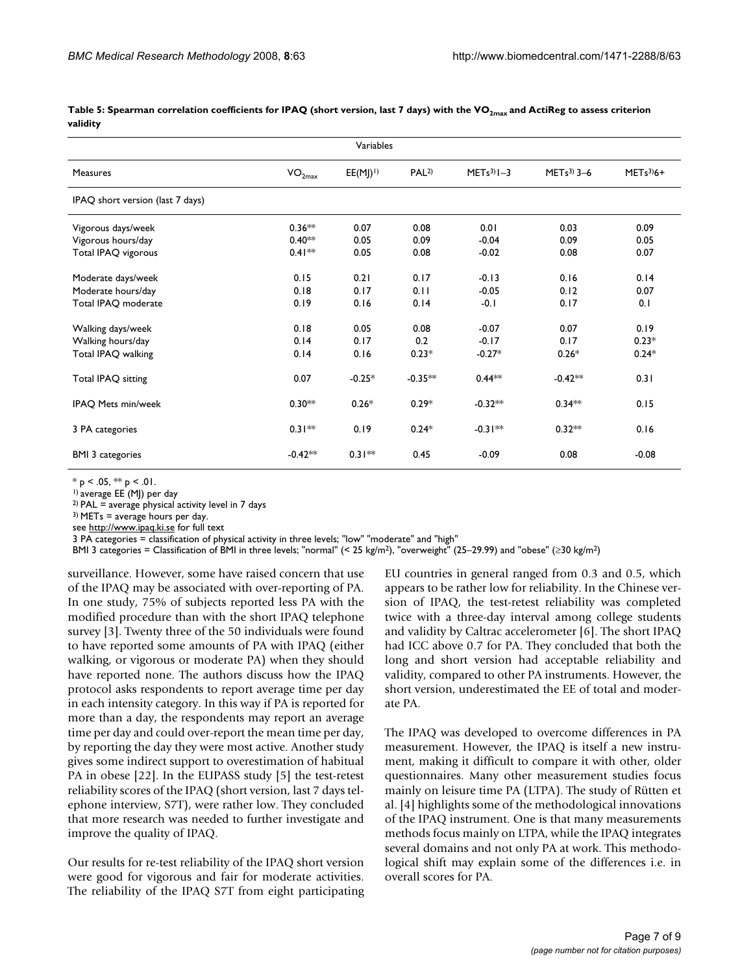| Variables                        |                 |              |                  |               |             |            |  |
|----------------------------------|-----------------|--------------|------------------|---------------|-------------|------------|--|
| Measures                         | $\rm VO_{2max}$ | $EE(MJ)^{+}$ | PAL <sup>2</sup> | $METs3$ $I-3$ | $METs3$ 3-6 | $METs3)6+$ |  |
| IPAQ short version (last 7 days) |                 |              |                  |               |             |            |  |
| Vigorous days/week               | $0.36**$        | 0.07         | 0.08             | 0.01          | 0.03        | 0.09       |  |
| Vigorous hours/day               | $0.40**$        | 0.05         | 0.09             | $-0.04$       | 0.09        | 0.05       |  |
| Total IPAQ vigorous              | $0.41***$       | 0.05         | 0.08             | $-0.02$       | 0.08        | 0.07       |  |
| Moderate days/week               | 0.15            | 0.21         | 0.17             | $-0.13$       | 0.16        | 0.14       |  |
| Moderate hours/day               | 0.18            | 0.17         | 0.11             | $-0.05$       | 0.12        | 0.07       |  |
| Total IPAQ moderate              | 0.19            | 0.16         | 0.14             | $-0.1$        | 0.17        | 0.1        |  |
| Walking days/week                | 0.18            | 0.05         | 0.08             | $-0.07$       | 0.07        | 0.19       |  |
| Walking hours/day                | 0.14            | 0.17         | 0.2              | $-0.17$       | 0.17        | $0.23*$    |  |
| Total IPAQ walking               | 0.14            | 0.16         | $0.23*$          | $-0.27*$      | $0.26*$     | $0.24*$    |  |
| Total IPAQ sitting               | 0.07            | $-0.25*$     | $-0.35**$        | $0.44***$     | $-0.42**$   | 0.31       |  |
| IPAQ Mets min/week               | $0.30**$        | $0.26*$      | $0.29*$          | $-0.32**$     | $0.34**$    | 0.15       |  |
| 3 PA categories                  | $0.31**$        | 0.19         | $0.24*$          | $-0.31**$     | $0.32**$    | 0.16       |  |
| <b>BMI 3 categories</b>          | $-0.42**$       | $0.31**$     | 0.45             | $-0.09$       | 0.08        | $-0.08$    |  |

Table 5: Spearman correlation coefficients for IPAQ (short version, last 7 days) with the VO<sub>2max</sub> and ActiReg to assess criterion **validity**

 $* p < .05, ** p < .01.$ 

1) average EE (MJ) per day

 $2)$  PAL = average physical activity level in 7 days

 $3$ ) METs = average hours per day.

see<http://www.ipaq.ki.se> for full text

3 PA categories = classification of physical activity in three levels; "low" "moderate" and "high"

BMI 3 categories = Classification of BMI in three levels; "normal" (< 25 kg/m<sup>2</sup>), "overweight" (25–29.99) and "obese" (≥30 kg/m<sup>2</sup>)

surveillance. However, some have raised concern that use of the IPAQ may be associated with over-reporting of PA. In one study, 75% of subjects reported less PA with the modified procedure than with the short IPAQ telephone survey [3]. Twenty three of the 50 individuals were found to have reported some amounts of PA with IPAQ (either walking, or vigorous or moderate PA) when they should have reported none. The authors discuss how the IPAQ protocol asks respondents to report average time per day in each intensity category. In this way if PA is reported for more than a day, the respondents may report an average time per day and could over-report the mean time per day, by reporting the day they were most active. Another study gives some indirect support to overestimation of habitual PA in obese [22]. In the EUPASS study [5] the test-retest reliability scores of the IPAQ (short version, last 7 days telephone interview, S7T), were rather low. They concluded that more research was needed to further investigate and improve the quality of IPAQ.

Our results for re-test reliability of the IPAQ short version were good for vigorous and fair for moderate activities. The reliability of the IPAQ S7T from eight participating EU countries in general ranged from 0.3 and 0.5, which appears to be rather low for reliability. In the Chinese version of IPAQ, the test-retest reliability was completed twice with a three-day interval among college students and validity by Caltrac accelerometer [6]. The short IPAQ had ICC above 0.7 for PA. They concluded that both the long and short version had acceptable reliability and validity, compared to other PA instruments. However, the short version, underestimated the EE of total and moderate PA.

The IPAQ was developed to overcome differences in PA measurement. However, the IPAQ is itself a new instrument, making it difficult to compare it with other, older questionnaires. Many other measurement studies focus mainly on leisure time PA (LTPA). The study of Rütten et al. [4] highlights some of the methodological innovations of the IPAQ instrument. One is that many measurements methods focus mainly on LTPA, while the IPAQ integrates several domains and not only PA at work. This methodological shift may explain some of the differences i.e. in overall scores for PA.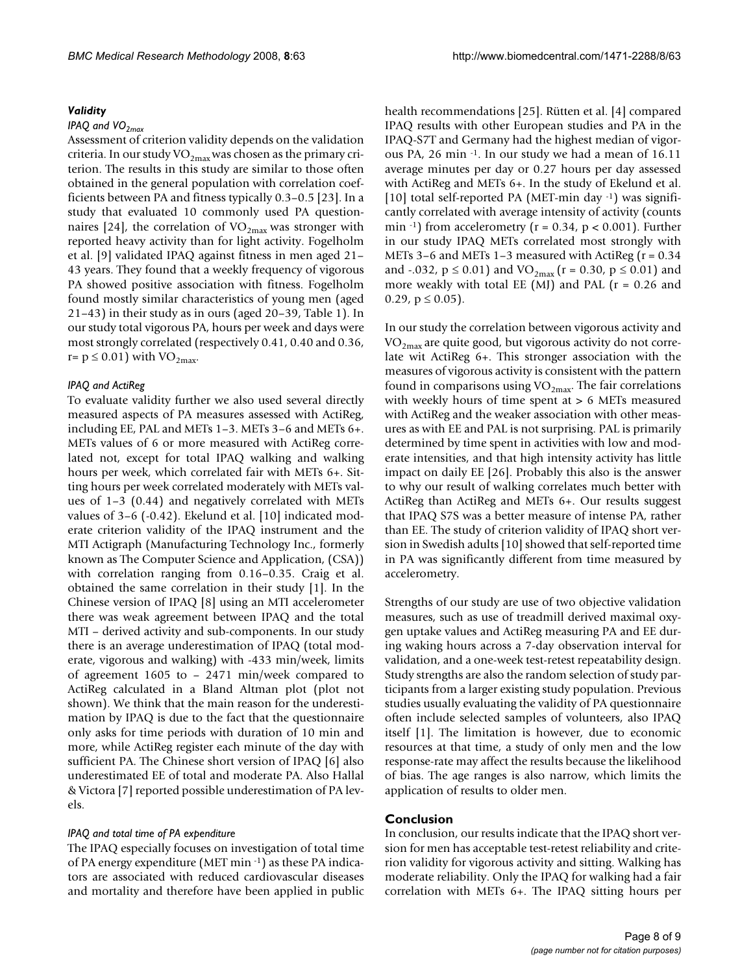#### *Validity*

#### *IPAQ and VO<sub>2max</sub>*

Assessment of criterion validity depends on the validation criteria. In our study  $VO<sub>2max</sub>$  was chosen as the primary criterion. The results in this study are similar to those often obtained in the general population with correlation coefficients between PA and fitness typically 0.3–0.5 [23]. In a study that evaluated 10 commonly used PA questionnaires [24], the correlation of  $VO_{2max}$  was stronger with reported heavy activity than for light activity. Fogelholm et al. [9] validated IPAQ against fitness in men aged 21– 43 years. They found that a weekly frequency of vigorous PA showed positive association with fitness. Fogelholm found mostly similar characteristics of young men (aged 21–43) in their study as in ours (aged 20–39, Table 1). In our study total vigorous PA, hours per week and days were most strongly correlated (respectively 0.41, 0.40 and 0.36, r=  $p \le 0.01$ ) with VO<sub>2max</sub>.

#### *IPAQ and ActiReg*

To evaluate validity further we also used several directly measured aspects of PA measures assessed with ActiReg, including EE, PAL and METs 1–3. METs 3–6 and METs 6+. METs values of 6 or more measured with ActiReg correlated not, except for total IPAQ walking and walking hours per week, which correlated fair with METs 6+. Sitting hours per week correlated moderately with METs values of 1–3 (0.44) and negatively correlated with METs values of 3–6 (-0.42). Ekelund et al. [10] indicated moderate criterion validity of the IPAQ instrument and the MTI Actigraph (Manufacturing Technology Inc., formerly known as The Computer Science and Application, (CSA)) with correlation ranging from 0.16–0.35. Craig et al. obtained the same correlation in their study [1]. In the Chinese version of IPAQ [8] using an MTI accelerometer there was weak agreement between IPAQ and the total MTI – derived activity and sub-components. In our study there is an average underestimation of IPAQ (total moderate, vigorous and walking) with -433 min/week, limits of agreement 1605 to – 2471 min/week compared to ActiReg calculated in a Bland Altman plot (plot not shown). We think that the main reason for the underestimation by IPAQ is due to the fact that the questionnaire only asks for time periods with duration of 10 min and more, while ActiReg register each minute of the day with sufficient PA. The Chinese short version of IPAQ [6] also underestimated EE of total and moderate PA. Also Hallal & Victora [7] reported possible underestimation of PA levels.

#### *IPAQ and total time of PA expenditure*

The IPAQ especially focuses on investigation of total time of PA energy expenditure (MET min -1) as these PA indicators are associated with reduced cardiovascular diseases and mortality and therefore have been applied in public

health recommendations [25]. Rütten et al. [4] compared IPAQ results with other European studies and PA in the IPAQ-S7T and Germany had the highest median of vigorous PA, 26 min -1. In our study we had a mean of 16.11 average minutes per day or 0.27 hours per day assessed with ActiReg and METs 6+. In the study of Ekelund et al. [10] total self-reported PA (MET-min day -1) was significantly correlated with average intensity of activity (counts min  $^{-1}$ ) from accelerometry ( $r = 0.34$ ,  $p < 0.001$ ). Further in our study IPAQ METs correlated most strongly with METs 3–6 and METs 1–3 measured with ActiReg (r = 0.34 and -.032,  $p \le 0.01$ ) and VO<sub>2max</sub> (r = 0.30,  $p \le 0.01$ ) and more weakly with total EE (MJ) and PAL  $(r = 0.26$  and 0.29,  $p \le 0.05$ ).

In our study the correlation between vigorous activity and  $VO_{2max}$  are quite good, but vigorous activity do not correlate wit ActiReg 6+. This stronger association with the measures of vigorous activity is consistent with the pattern found in comparisons using  $VO<sub>2max</sub>$ . The fair correlations with weekly hours of time spent at > 6 METs measured with ActiReg and the weaker association with other measures as with EE and PAL is not surprising. PAL is primarily determined by time spent in activities with low and moderate intensities, and that high intensity activity has little impact on daily EE [26]. Probably this also is the answer to why our result of walking correlates much better with ActiReg than ActiReg and METs 6+. Our results suggest that IPAQ S7S was a better measure of intense PA, rather than EE. The study of criterion validity of IPAQ short version in Swedish adults [10] showed that self-reported time in PA was significantly different from time measured by accelerometry.

Strengths of our study are use of two objective validation measures, such as use of treadmill derived maximal oxygen uptake values and ActiReg measuring PA and EE during waking hours across a 7-day observation interval for validation, and a one-week test-retest repeatability design. Study strengths are also the random selection of study participants from a larger existing study population. Previous studies usually evaluating the validity of PA questionnaire often include selected samples of volunteers, also IPAQ itself [1]. The limitation is however, due to economic resources at that time, a study of only men and the low response-rate may affect the results because the likelihood of bias. The age ranges is also narrow, which limits the application of results to older men.

# **Conclusion**

In conclusion, our results indicate that the IPAQ short version for men has acceptable test-retest reliability and criterion validity for vigorous activity and sitting. Walking has moderate reliability. Only the IPAQ for walking had a fair correlation with METs 6+. The IPAQ sitting hours per